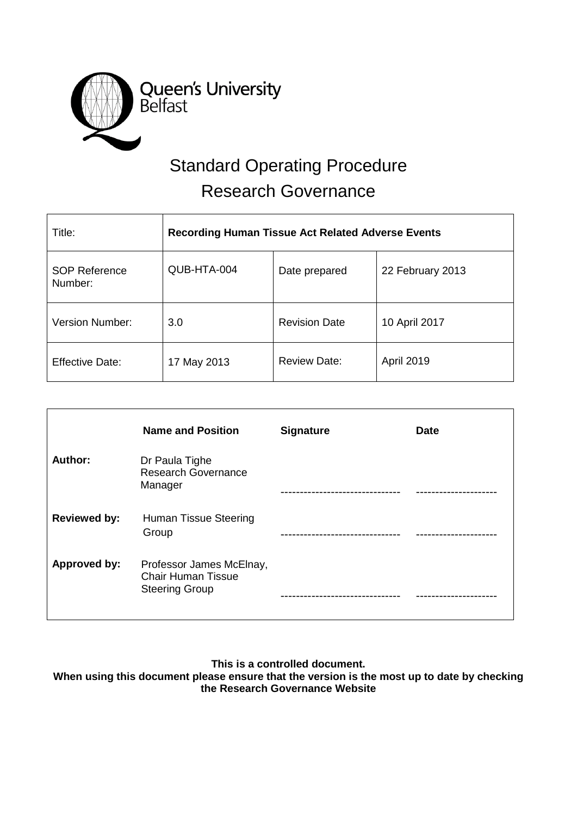

# Standard Operating Procedure Research Governance

| Title:                          | <b>Recording Human Tissue Act Related Adverse Events</b> |                      |                  |
|---------------------------------|----------------------------------------------------------|----------------------|------------------|
| <b>SOP Reference</b><br>Number: | QUB-HTA-004                                              | Date prepared        | 22 February 2013 |
| Version Number:                 | 3.0                                                      | <b>Revision Date</b> | 10 April 2017    |
| <b>Effective Date:</b>          | 17 May 2013                                              | <b>Review Date:</b>  | April 2019       |

|                     | <b>Name and Position</b>                                                       | <b>Signature</b> | <b>Date</b> |
|---------------------|--------------------------------------------------------------------------------|------------------|-------------|
| Author:             | Dr Paula Tighe<br><b>Research Governance</b><br>Manager                        |                  |             |
| <b>Reviewed by:</b> | Human Tissue Steering<br>Group                                                 |                  |             |
| Approved by:        | Professor James McElnay,<br><b>Chair Human Tissue</b><br><b>Steering Group</b> |                  |             |

**This is a controlled document.**

**When using this document please ensure that the version is the most up to date by checking the Research Governance Website**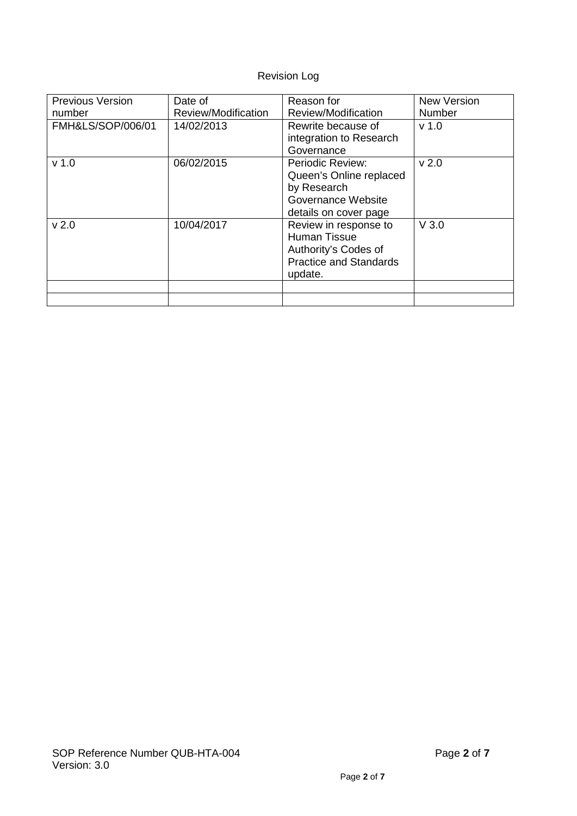# Revision Log

| <b>Previous Version</b><br>number | Date of<br>Review/Modification | Reason for<br>Review/Modification                                                                                | <b>New Version</b><br><b>Number</b> |
|-----------------------------------|--------------------------------|------------------------------------------------------------------------------------------------------------------|-------------------------------------|
| FMH&LS/SOP/006/01                 | 14/02/2013                     | Rewrite because of<br>integration to Research<br>Governance                                                      | v <sub>1.0</sub>                    |
| v <sub>1.0</sub>                  | 06/02/2015                     | Periodic Review:<br>Queen's Online replaced<br>by Research<br>Governance Website<br>details on cover page        | v <sub>2.0</sub>                    |
| v <sub>2.0</sub>                  | 10/04/2017                     | Review in response to<br><b>Human Tissue</b><br>Authority's Codes of<br><b>Practice and Standards</b><br>update. | $V$ 3.0                             |
|                                   |                                |                                                                                                                  |                                     |
|                                   |                                |                                                                                                                  |                                     |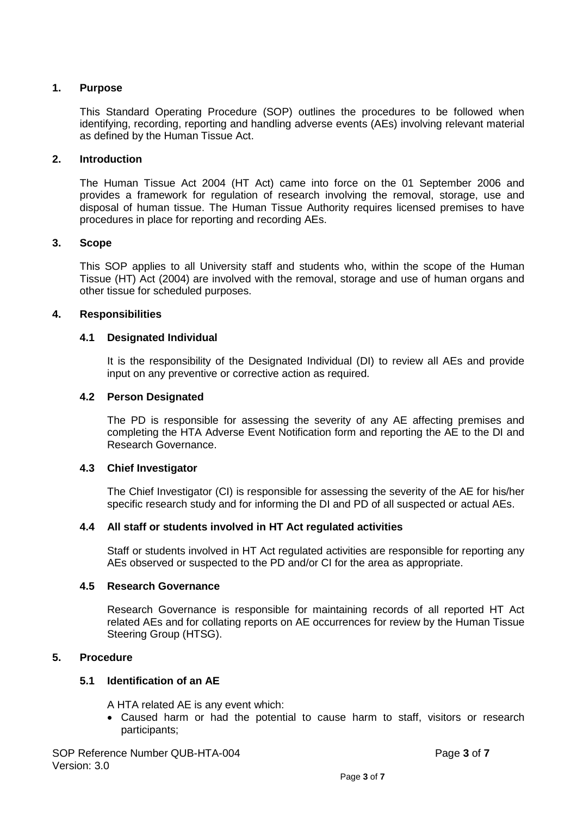# **1. Purpose**

This Standard Operating Procedure (SOP) outlines the procedures to be followed when identifying, recording, reporting and handling adverse events (AEs) involving relevant material as defined by the Human Tissue Act.

#### **2. Introduction**

The Human Tissue Act 2004 (HT Act) came into force on the 01 September 2006 and provides a framework for regulation of research involving the removal, storage, use and disposal of human tissue. The Human Tissue Authority requires licensed premises to have procedures in place for reporting and recording AEs.

# **3. Scope**

This SOP applies to all University staff and students who, within the scope of the Human Tissue (HT) Act (2004) are involved with the removal, storage and use of human organs and other tissue for scheduled purposes.

# **4. Responsibilities**

# **4.1 Designated Individual**

It is the responsibility of the Designated Individual (DI) to review all AEs and provide input on any preventive or corrective action as required.

# **4.2 Person Designated**

The PD is responsible for assessing the severity of any AE affecting premises and completing the HTA Adverse Event Notification form and reporting the AE to the DI and Research Governance.

#### **4.3 Chief Investigator**

The Chief Investigator (CI) is responsible for assessing the severity of the AE for his/her specific research study and for informing the DI and PD of all suspected or actual AEs.

#### **4.4 All staff or students involved in HT Act regulated activities**

Staff or students involved in HT Act regulated activities are responsible for reporting any AEs observed or suspected to the PD and/or CI for the area as appropriate.

#### **4.5 Research Governance**

Research Governance is responsible for maintaining records of all reported HT Act related AEs and for collating reports on AE occurrences for review by the Human Tissue Steering Group (HTSG).

#### **5. Procedure**

#### **5.1 Identification of an AE**

A HTA related AE is any event which:

• Caused harm or had the potential to cause harm to staff, visitors or research participants;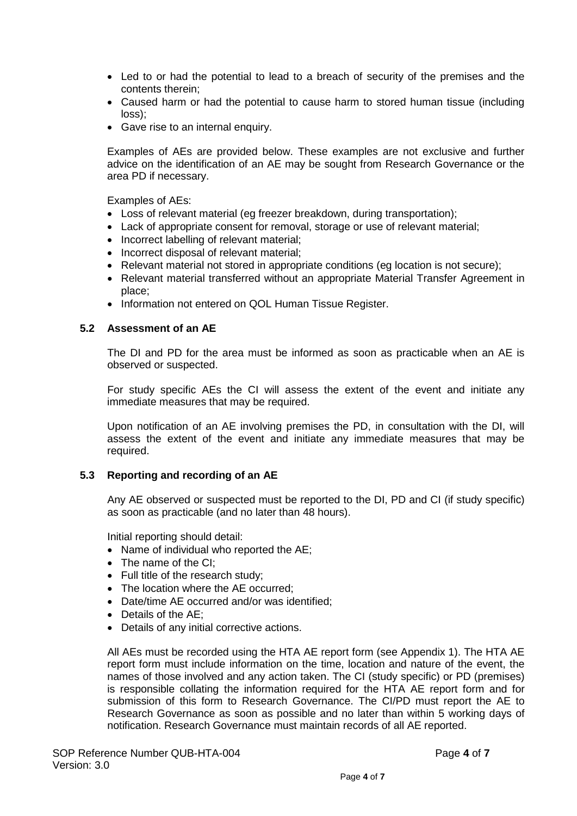- Led to or had the potential to lead to a breach of security of the premises and the contents therein;
- Caused harm or had the potential to cause harm to stored human tissue (including loss);
- Gave rise to an internal enquiry.

Examples of AEs are provided below. These examples are not exclusive and further advice on the identification of an AE may be sought from Research Governance or the area PD if necessary.

Examples of AEs:

- Loss of relevant material (eg freezer breakdown, during transportation);
- Lack of appropriate consent for removal, storage or use of relevant material;
- Incorrect labelling of relevant material:
- Incorrect disposal of relevant material;
- Relevant material not stored in appropriate conditions (eg location is not secure);
- Relevant material transferred without an appropriate Material Transfer Agreement in place;
- Information not entered on QOL Human Tissue Register.

#### **5.2 Assessment of an AE**

The DI and PD for the area must be informed as soon as practicable when an AE is observed or suspected.

For study specific AEs the CI will assess the extent of the event and initiate any immediate measures that may be required.

Upon notification of an AE involving premises the PD, in consultation with the DI, will assess the extent of the event and initiate any immediate measures that may be required.

#### **5.3 Reporting and recording of an AE**

Any AE observed or suspected must be reported to the DI, PD and CI (if study specific) as soon as practicable (and no later than 48 hours).

Initial reporting should detail:

- Name of individual who reported the AE;
- The name of the CI:
- Full title of the research study;
- The location where the AE occurred;
- Date/time AE occurred and/or was identified;
- Details of the AE;
- Details of any initial corrective actions.

All AEs must be recorded using the HTA AE report form (see Appendix 1). The HTA AE report form must include information on the time, location and nature of the event, the names of those involved and any action taken. The CI (study specific) or PD (premises) is responsible collating the information required for the HTA AE report form and for submission of this form to Research Governance. The CI/PD must report the AE to Research Governance as soon as possible and no later than within 5 working days of notification. Research Governance must maintain records of all AE reported.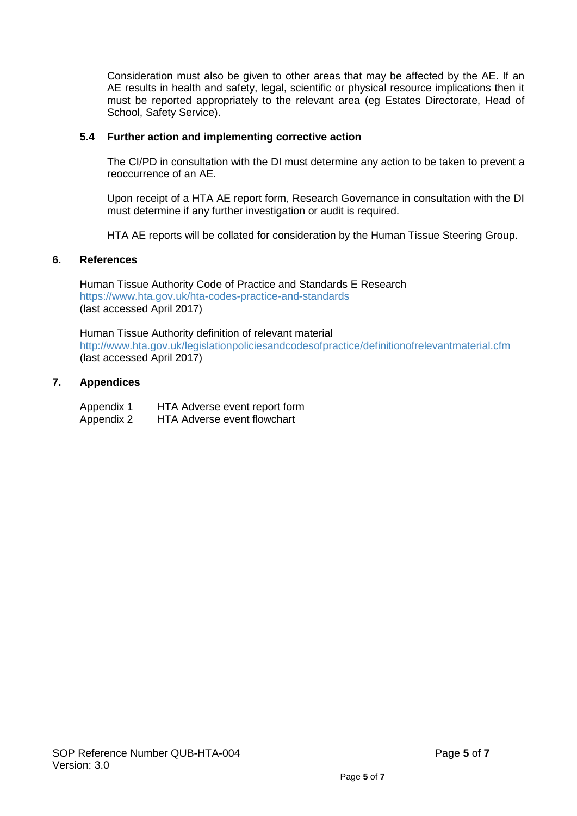Consideration must also be given to other areas that may be affected by the AE. If an AE results in health and safety, legal, scientific or physical resource implications then it must be reported appropriately to the relevant area (eg Estates Directorate, Head of School, Safety Service).

#### **5.4 Further action and implementing corrective action**

The CI/PD in consultation with the DI must determine any action to be taken to prevent a reoccurrence of an AE.

Upon receipt of a HTA AE report form, Research Governance in consultation with the DI must determine if any further investigation or audit is required.

HTA AE reports will be collated for consideration by the Human Tissue Steering Group.

#### **6. References**

Human Tissue Authority Code of Practice and Standards E Research <https://www.hta.gov.uk/hta-codes-practice-and-standards> (last accessed April 2017)

Human Tissue Authority definition of relevant material <http://www.hta.gov.uk/legislationpoliciesandcodesofpractice/definitionofrelevantmaterial.cfm> (last accessed April 2017)

# **7. Appendices**

| Appendix 1 | HTA Adverse event report form      |
|------------|------------------------------------|
| Appendix 2 | <b>HTA Adverse event flowchart</b> |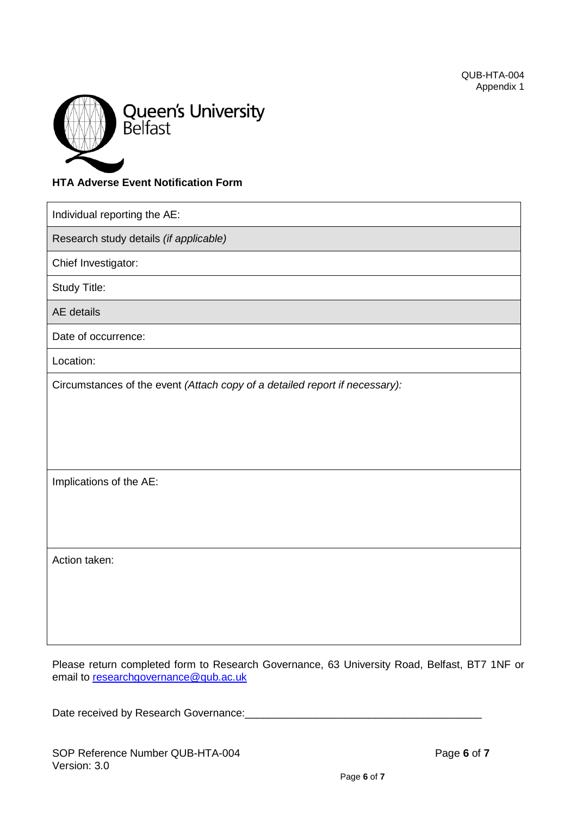

# **HTA Adverse Event Notification Form**

| Individual reporting the AE:                                                |  |  |
|-----------------------------------------------------------------------------|--|--|
| Research study details (if applicable)                                      |  |  |
| Chief Investigator:                                                         |  |  |
| <b>Study Title:</b>                                                         |  |  |
| <b>AE</b> details                                                           |  |  |
| Date of occurrence:                                                         |  |  |
| Location:                                                                   |  |  |
| Circumstances of the event (Attach copy of a detailed report if necessary): |  |  |
| Implications of the AE:                                                     |  |  |
| Action taken:                                                               |  |  |

Please return completed form to Research Governance, 63 University Road, Belfast, BT7 1NF or email to [researchgovernance@qub.ac.uk](mailto:researchgovernance@qub.ac.uk)

Date received by Research Governance: